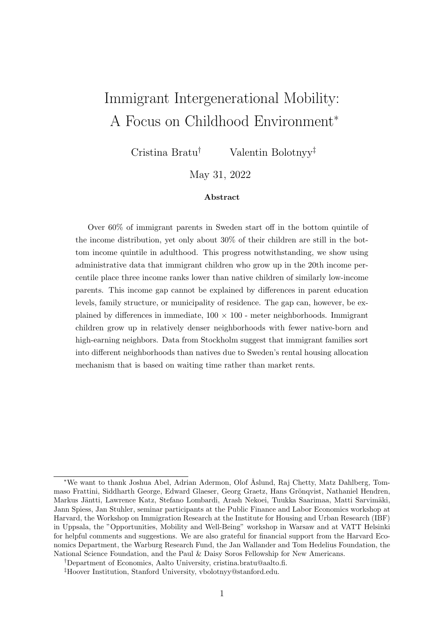# Immigrant Intergenerational Mobility: A Focus on Childhood Environment<sup>∗</sup>

Cristina Bratu† Valentin Bolotnyy‡

May 31, 2022

### Abstract

Over 60% of immigrant parents in Sweden start off in the bottom quintile of the income distribution, yet only about 30% of their children are still in the bottom income quintile in adulthood. This progress notwithstanding, we show using administrative data that immigrant children who grow up in the 20th income percentile place three income ranks lower than native children of similarly low-income parents. This income gap cannot be explained by differences in parent education levels, family structure, or municipality of residence. The gap can, however, be explained by differences in immediate,  $100 \times 100$  - meter neighborhoods. Immigrant children grow up in relatively denser neighborhoods with fewer native-born and high-earning neighbors. Data from Stockholm suggest that immigrant families sort into different neighborhoods than natives due to Sweden's rental housing allocation mechanism that is based on waiting time rather than market rents.

<sup>∗</sup>We want to thank Joshua Abel, Adrian Adermon, Olof ˚Aslund, Raj Chetty, Matz Dahlberg, Tommaso Frattini, Siddharth George, Edward Glaeser, Georg Graetz, Hans Grönqvist, Nathaniel Hendren, Markus Jäntti, Lawrence Katz, Stefano Lombardi, Arash Nekoei, Tuukka Saarimaa, Matti Sarvimäki, Jann Spiess, Jan Stuhler, seminar participants at the Public Finance and Labor Economics workshop at Harvard, the Workshop on Immigration Research at the Institute for Housing and Urban Research (IBF) in Uppsala, the "Opportunities, Mobility and Well-Being" workshop in Warsaw and at VATT Helsinki for helpful comments and suggestions. We are also grateful for financial support from the Harvard Economics Department, the Warburg Research Fund, the Jan Wallander and Tom Hedelius Foundation, the National Science Foundation, and the Paul & Daisy Soros Fellowship for New Americans.

<sup>†</sup>Department of Economics, Aalto University, cristina.bratu@aalto.fi.

<sup>‡</sup>Hoover Institution, Stanford University, vbolotnyy@stanford.edu.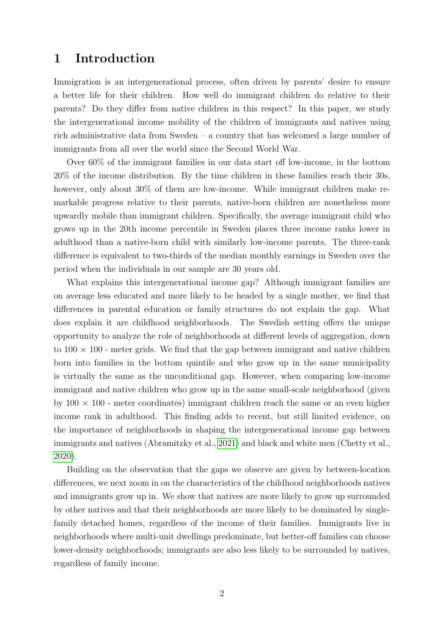## 1 Introduction

Immigration is an intergenerational process, often driven by parents' desire to ensure a better life for their children. How well do immigrant children do relative to their parents? Do they differ from native children in this respect? In this paper, we study the intergenerational income mobility of the children of immigrants and natives using rich administrative data from Sweden – a country that has welcomed a large number of immigrants from all over the world since the Second World War.

Over 60% of the immigrant families in our data start off low-income, in the bottom 20% of the income distribution. By the time children in these families reach their 30s, however, only about 30% of them are low-income. While immigrant children make remarkable progress relative to their parents, native-born children are nonetheless more upwardly mobile than immigrant children. Specifically, the average immigrant child who grows up in the 20th income percentile in Sweden places three income ranks lower in adulthood than a native-born child with similarly low-income parents. The three-rank difference is equivalent to two-thirds of the median monthly earnings in Sweden over the period when the individuals in our sample are 30 years old.

What explains this intergenerational income gap? Although immigrant families are on average less educated and more likely to be headed by a single mother, we find that differences in parental education or family structures do not explain the gap. What does explain it are childhood neighborhoods. The Swedish setting offers the unique opportunity to analyze the role of neighborhoods at different levels of aggregation, down to  $100 \times 100$  - meter grids. We find that the gap between immigrant and native children born into families in the bottom quintile and who grow up in the same municipality is virtually the same as the unconditional gap. However, when comparing low-income immigrant and native children who grow up in the same small-scale neighborhood (given by  $100 \times 100$  - meter coordinates) immigrant children reach the same or an even higher income rank in adulthood. This finding adds to recent, but still limited evidence, on the importance of neighborhoods in shaping the intergenerational income gap between immigrants and natives (Abramitzky et al., [2021\)](#page-17-0) and black and white men (Chetty et al., [2020\)](#page-17-1).

Building on the observation that the gaps we observe are given by between-location differences, we next zoom in on the characteristics of the childhood neighborhoods natives and immigrants grow up in. We show that natives are more likely to grow up surrounded by other natives and that their neighborhoods are more likely to be dominated by singlefamily detached homes, regardless of the income of their families. Immigrants live in neighborhoods where multi-unit dwellings predominate, but better-off families can choose lower-density neighborhoods; immigrants are also less likely to be surrounded by natives, regardless of family income.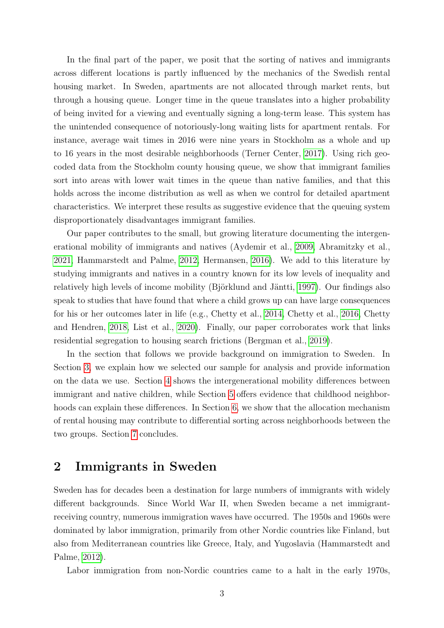In the final part of the paper, we posit that the sorting of natives and immigrants across different locations is partly influenced by the mechanics of the Swedish rental housing market. In Sweden, apartments are not allocated through market rents, but through a housing queue. Longer time in the queue translates into a higher probability of being invited for a viewing and eventually signing a long-term lease. This system has the unintended consequence of notoriously-long waiting lists for apartment rentals. For instance, average wait times in 2016 were nine years in Stockholm as a whole and up to 16 years in the most desirable neighborhoods (Terner Center, [2017\)](#page-18-0). Using rich geocoded data from the Stockholm county housing queue, we show that immigrant families sort into areas with lower wait times in the queue than native families, and that this holds across the income distribution as well as when we control for detailed apartment characteristics. We interpret these results as suggestive evidence that the queuing system disproportionately disadvantages immigrant families.

Our paper contributes to the small, but growing literature documenting the intergenerational mobility of immigrants and natives (Aydemir et al., [2009,](#page-17-2) Abramitzky et al., [2021,](#page-17-0) Hammarstedt and Palme, [2012,](#page-17-3) Hermansen, [2016\)](#page-18-1). We add to this literature by studying immigrants and natives in a country known for its low levels of inequality and relatively high levels of income mobility (Björklund and Jäntti, [1997\)](#page-17-4). Our findings also speak to studies that have found that where a child grows up can have large consequences for his or her outcomes later in life (e.g., Chetty et al., [2014,](#page-17-5) Chetty et al., [2016,](#page-17-6) Chetty and Hendren, [2018,](#page-17-7) List et al., [2020\)](#page-18-2). Finally, our paper corroborates work that links residential segregation to housing search frictions (Bergman et al., [2019\)](#page-17-8).

In the section that follows we provide background on immigration to Sweden. In Section [3,](#page-3-0) we explain how we selected our sample for analysis and provide information on the data we use. Section [4](#page-4-0) shows the intergenerational mobility differences between immigrant and native children, while Section [5](#page-7-0) offers evidence that childhood neighborhoods can explain these differences. In Section [6,](#page-10-0) we show that the allocation mechanism of rental housing may contribute to differential sorting across neighborhoods between the two groups. Section [7](#page-15-0) concludes.

## 2 Immigrants in Sweden

Sweden has for decades been a destination for large numbers of immigrants with widely different backgrounds. Since World War II, when Sweden became a net immigrantreceiving country, numerous immigration waves have occurred. The 1950s and 1960s were dominated by labor immigration, primarily from other Nordic countries like Finland, but also from Mediterranean countries like Greece, Italy, and Yugoslavia (Hammarstedt and Palme, [2012\)](#page-17-3).

Labor immigration from non-Nordic countries came to a halt in the early 1970s,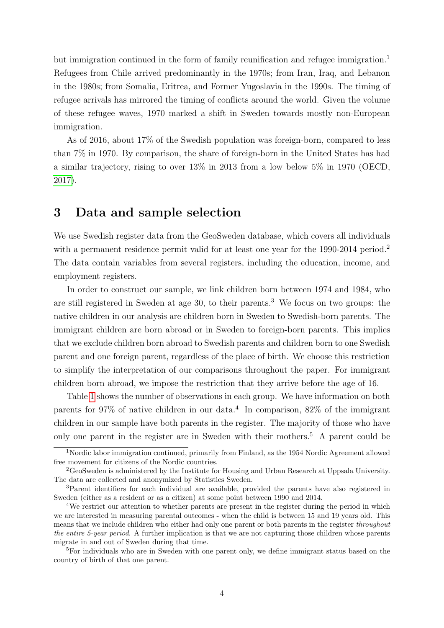but immigration continued in the form of family reunification and refugee immigration.<sup>1</sup> Refugees from Chile arrived predominantly in the 1970s; from Iran, Iraq, and Lebanon in the 1980s; from Somalia, Eritrea, and Former Yugoslavia in the 1990s. The timing of refugee arrivals has mirrored the timing of conflicts around the world. Given the volume of these refugee waves, 1970 marked a shift in Sweden towards mostly non-European immigration.

As of 2016, about 17% of the Swedish population was foreign-born, compared to less than 7% in 1970. By comparison, the share of foreign-born in the United States has had a similar trajectory, rising to over 13% in 2013 from a low below 5% in 1970 (OECD, [2017\)](#page-18-3).

## <span id="page-3-0"></span>3 Data and sample selection

We use Swedish register data from the GeoSweden database, which covers all individuals with a permanent residence permit valid for at least one year for the 1990-2014 period.<sup>2</sup> The data contain variables from several registers, including the education, income, and employment registers.

In order to construct our sample, we link children born between 1974 and 1984, who are still registered in Sweden at age 30, to their parents.<sup>3</sup> We focus on two groups: the native children in our analysis are children born in Sweden to Swedish-born parents. The immigrant children are born abroad or in Sweden to foreign-born parents. This implies that we exclude children born abroad to Swedish parents and children born to one Swedish parent and one foreign parent, regardless of the place of birth. We choose this restriction to simplify the interpretation of our comparisons throughout the paper. For immigrant children born abroad, we impose the restriction that they arrive before the age of 16.

Table [1](#page-4-1) shows the number of observations in each group. We have information on both parents for 97% of native children in our data.<sup>4</sup> In comparison, 82% of the immigrant children in our sample have both parents in the register. The majority of those who have only one parent in the register are in Sweden with their mothers.<sup>5</sup> A parent could be

<sup>1</sup>Nordic labor immigration continued, primarily from Finland, as the 1954 Nordic Agreement allowed free movement for citizens of the Nordic countries.

<sup>2</sup>GeoSweden is administered by the Institute for Housing and Urban Research at Uppsala University. The data are collected and anonymized by Statistics Sweden.

<sup>3</sup>Parent identifiers for each individual are available, provided the parents have also registered in Sweden (either as a resident or as a citizen) at some point between 1990 and 2014.

<sup>&</sup>lt;sup>4</sup>We restrict our attention to whether parents are present in the register during the period in which we are interested in measuring parental outcomes - when the child is between 15 and 19 years old. This means that we include children who either had only one parent or both parents in the register *throughout* the entire 5-year period. A further implication is that we are not capturing those children whose parents migrate in and out of Sweden during that time.

<sup>&</sup>lt;sup>5</sup>For individuals who are in Sweden with one parent only, we define immigrant status based on the country of birth of that one parent.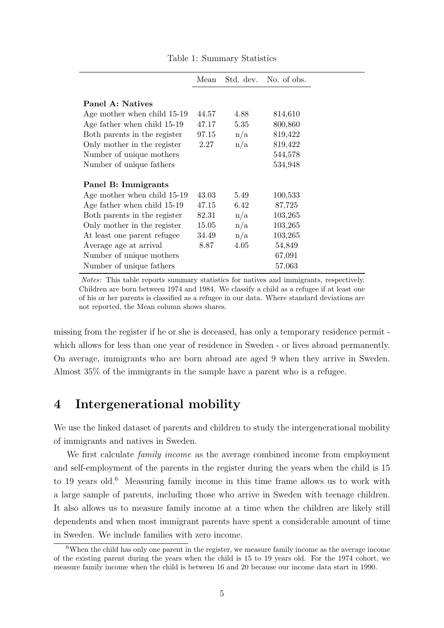<span id="page-4-1"></span>

|                              | Mean  |      | Std. dev. No. of obs. |
|------------------------------|-------|------|-----------------------|
|                              |       |      |                       |
| Panel A: Natives             |       |      |                       |
| Age mother when child 15-19  | 44.57 | 4.88 | 814,610               |
| Age father when child 15-19  | 47.17 | 5.35 | 800,860               |
| Both parents in the register | 97.15 | n/a  | 819,422               |
| Only mother in the register  | 2.27  | n/a  | 819,422               |
| Number of unique mothers     |       |      | 544,578               |
| Number of unique fathers     |       |      | 534,948               |
|                              |       |      |                       |
| Panel B: Immigrants          |       |      |                       |
| Age mother when child 15-19  | 43.03 | 5.49 | 100,533               |
| Age father when child 15-19  | 47.15 | 6.42 | 87,725                |
| Both parents in the register | 82.31 | n/a  | 103,265               |
| Only mother in the register  | 15.05 | n/a  | 103,265               |
| At least one parent refugee  | 34.49 | n/a  | 103,265               |
| Average age at arrival       | 8.87  | 4.05 | 54,849                |
| Number of unique mothers     |       |      | 67,091                |
| Number of unique fathers     |       |      | 57,063                |

Table 1: Summary Statistics

Notes: This table reports summary statistics for natives and immigrants, respectively. Children are born between 1974 and 1984. We classify a child as a refugee if at least one of his or her parents is classified as a refugee in our data. Where standard deviations are not reported, the Mean column shows shares.

missing from the register if he or she is deceased, has only a temporary residence permit which allows for less than one year of residence in Sweden - or lives abroad permanently. On average, immigrants who are born abroad are aged 9 when they arrive in Sweden. Almost 35% of the immigrants in the sample have a parent who is a refugee.

# <span id="page-4-0"></span>4 Intergenerational mobility

We use the linked dataset of parents and children to study the intergenerational mobility of immigrants and natives in Sweden.

We first calculate *family income* as the average combined income from employment and self-employment of the parents in the register during the years when the child is 15 to 19 years old. $6$  Measuring family income in this time frame allows us to work with a large sample of parents, including those who arrive in Sweden with teenage children. It also allows us to measure family income at a time when the children are likely still dependents and when most immigrant parents have spent a considerable amount of time in Sweden. We include families with zero income.

<sup>6</sup>When the child has only one parent in the register, we measure family income as the average income of the existing parent during the years when the child is 15 to 19 years old. For the 1974 cohort, we measure family income when the child is between 16 and 20 because our income data start in 1990.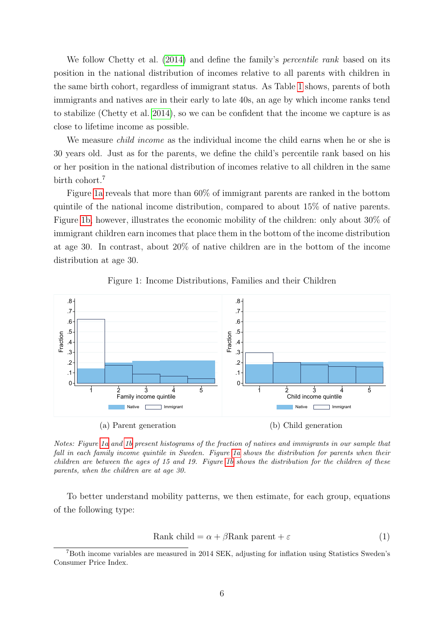We follow Chetty et al. [\(2014\)](#page-17-5) and define the family's *percentile rank* based on its position in the national distribution of incomes relative to all parents with children in the same birth cohort, regardless of immigrant status. As Table [1](#page-4-1) shows, parents of both immigrants and natives are in their early to late 40s, an age by which income ranks tend to stabilize (Chetty et al. [2014\)](#page-17-5), so we can be confident that the income we capture is as close to lifetime income as possible.

We measure *child income* as the individual income the child earns when he or she is 30 years old. Just as for the parents, we define the child's percentile rank based on his or her position in the national distribution of incomes relative to all children in the same birth cohort.<sup>7</sup>

Figure [1a](#page-5-0) reveals that more than 60% of immigrant parents are ranked in the bottom quintile of the national income distribution, compared to about 15% of native parents. Figure [1b,](#page-5-0) however, illustrates the economic mobility of the children: only about 30% of immigrant children earn incomes that place them in the bottom of the income distribution at age 30. In contrast, about 20% of native children are in the bottom of the income distribution at age 30.

<span id="page-5-0"></span>

Figure 1: Income Distributions, Families and their Children

Notes: Figure [1a](#page-5-0) and [1b](#page-5-0) present histograms of the fraction of natives and immigrants in our sample that fall in each family income quintile in Sweden. Figure [1a](#page-5-0) shows the distribution for parents when their children are between the ages of 15 and 19. Figure [1b](#page-5-0) shows the distribution for the children of these parents, when the children are at age 30.

To better understand mobility patterns, we then estimate, for each group, equations of the following type:

<span id="page-5-1"></span>
$$
Rank child = \alpha + \beta Rank parent + \varepsilon
$$
\n(1)

<sup>7</sup>Both income variables are measured in 2014 SEK, adjusting for inflation using Statistics Sweden's Consumer Price Index.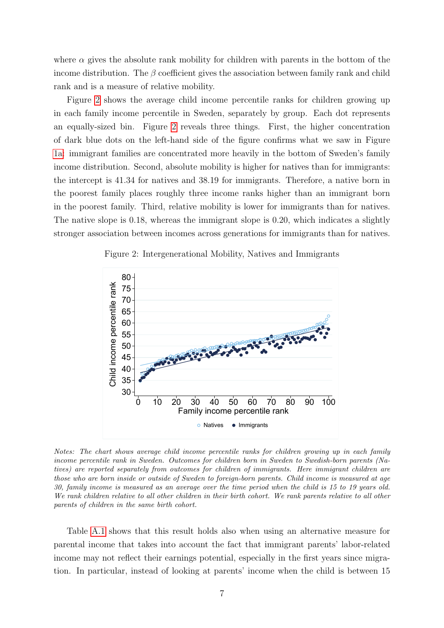where  $\alpha$  gives the absolute rank mobility for children with parents in the bottom of the income distribution. The  $\beta$  coefficient gives the association between family rank and child rank and is a measure of relative mobility.

Figure [2](#page-6-0) shows the average child income percentile ranks for children growing up in each family income percentile in Sweden, separately by group. Each dot represents an equally-sized bin. Figure [2](#page-6-0) reveals three things. First, the higher concentration of dark blue dots on the left-hand side of the figure confirms what we saw in Figure [1a:](#page-5-0) immigrant families are concentrated more heavily in the bottom of Sweden's family income distribution. Second, absolute mobility is higher for natives than for immigrants: the intercept is 41.34 for natives and 38.19 for immigrants. Therefore, a native born in the poorest family places roughly three income ranks higher than an immigrant born in the poorest family. Third, relative mobility is lower for immigrants than for natives. The native slope is 0.18, whereas the immigrant slope is 0.20, which indicates a slightly stronger association between incomes across generations for immigrants than for natives.

<span id="page-6-0"></span>

Figure 2: Intergenerational Mobility, Natives and Immigrants

Notes: The chart shows average child income percentile ranks for children growing up in each family income percentile rank in Sweden. Outcomes for children born in Sweden to Swedish-born parents (Natives) are reported separately from outcomes for children of immigrants. Here immigrant children are those who are born inside or outside of Sweden to foreign-born parents. Child income is measured at age 30, family income is measured as an average over the time period when the child is 15 to 19 years old. We rank children relative to all other children in their birth cohort. We rank parents relative to all other parents of children in the same birth cohort.

Table [A.1](#page-20-0) shows that this result holds also when using an alternative measure for parental income that takes into account the fact that immigrant parents' labor-related income may not reflect their earnings potential, especially in the first years since migration. In particular, instead of looking at parents' income when the child is between 15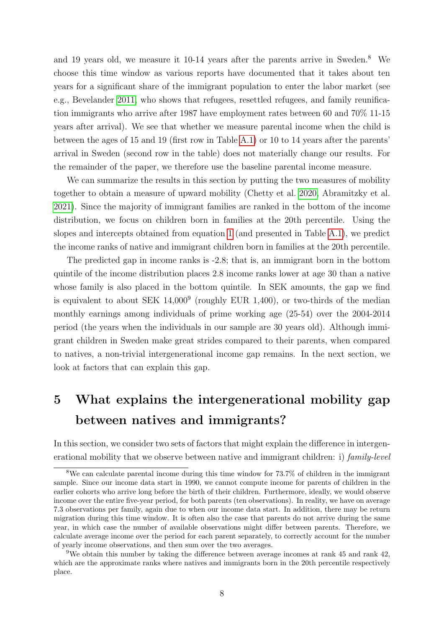and 19 years old, we measure it 10-14 years after the parents arrive in Sweden. $8$  We choose this time window as various reports have documented that it takes about ten years for a significant share of the immigrant population to enter the labor market (see e.g., Bevelander [2011,](#page-17-9) who shows that refugees, resettled refugees, and family reunification immigrants who arrive after 1987 have employment rates between 60 and 70% 11-15 years after arrival). We see that whether we measure parental income when the child is between the ages of 15 and 19 (first row in Table [A.1\)](#page-20-0) or 10 to 14 years after the parents' arrival in Sweden (second row in the table) does not materially change our results. For the remainder of the paper, we therefore use the baseline parental income measure.

We can summarize the results in this section by putting the two measures of mobility together to obtain a measure of upward mobility (Chetty et al. [2020,](#page-17-1) Abramitzky et al. [2021\)](#page-17-0). Since the majority of immigrant families are ranked in the bottom of the income distribution, we focus on children born in families at the 20th percentile. Using the slopes and intercepts obtained from equation [1](#page-5-1) (and presented in Table [A.1\)](#page-20-0), we predict the income ranks of native and immigrant children born in families at the 20th percentile.

The predicted gap in income ranks is -2.8; that is, an immigrant born in the bottom quintile of the income distribution places 2.8 income ranks lower at age 30 than a native whose family is also placed in the bottom quintile. In SEK amounts, the gap we find is equivalent to about SEK  $14,000^9$  (roughly EUR 1,400), or two-thirds of the median monthly earnings among individuals of prime working age (25-54) over the 2004-2014 period (the years when the individuals in our sample are 30 years old). Although immigrant children in Sweden make great strides compared to their parents, when compared to natives, a non-trivial intergenerational income gap remains. In the next section, we look at factors that can explain this gap.

# <span id="page-7-0"></span>5 What explains the intergenerational mobility gap between natives and immigrants?

In this section, we consider two sets of factors that might explain the difference in intergenerational mobility that we observe between native and immigrant children: i) family-level

<sup>8</sup>We can calculate parental income during this time window for 73.7% of children in the immigrant sample. Since our income data start in 1990, we cannot compute income for parents of children in the earlier cohorts who arrive long before the birth of their children. Furthermore, ideally, we would observe income over the entire five-year period, for both parents (ten observations). In reality, we have on average 7.3 observations per family, again due to when our income data start. In addition, there may be return migration during this time window. It is often also the case that parents do not arrive during the same year, in which case the number of available observations might differ between parents. Therefore, we calculate average income over the period for each parent separately, to correctly account for the number of yearly income observations, and then sum over the two averages.

<sup>&</sup>lt;sup>9</sup>We obtain this number by taking the difference between average incomes at rank 45 and rank  $42$ , which are the approximate ranks where natives and immigrants born in the 20th percentile respectively place.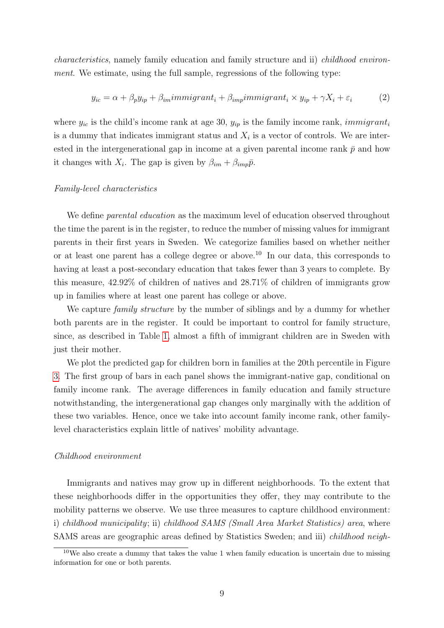characteristics, namely family education and family structure and ii) childhood environment. We estimate, using the full sample, regressions of the following type:

<span id="page-8-0"></span>
$$
y_{ic} = \alpha + \beta_p y_{ip} + \beta_{im} \text{immigrant}_i + \beta_{imp} \text{immigrant}_i \times y_{ip} + \gamma X_i + \varepsilon_i \tag{2}
$$

where  $y_{ic}$  is the child's income rank at age 30,  $y_{ip}$  is the family income rank, *immigrant<sub>i</sub>* is a dummy that indicates immigrant status and  $X_i$  is a vector of controls. We are interested in the intergenerational gap in income at a given parental income rank  $\bar{p}$  and how it changes with  $X_i$ . The gap is given by  $\beta_{im} + \beta_{imp}\bar{p}$ .

#### Family-level characteristics

We define *parental education* as the maximum level of education observed throughout the time the parent is in the register, to reduce the number of missing values for immigrant parents in their first years in Sweden. We categorize families based on whether neither or at least one parent has a college degree or above.<sup>10</sup> In our data, this corresponds to having at least a post-secondary education that takes fewer than 3 years to complete. By this measure, 42.92% of children of natives and 28.71% of children of immigrants grow up in families where at least one parent has college or above.

We capture *family structure* by the number of siblings and by a dummy for whether both parents are in the register. It could be important to control for family structure, since, as described in Table [1,](#page-4-1) almost a fifth of immigrant children are in Sweden with just their mother.

We plot the predicted gap for children born in families at the 20th percentile in Figure [3.](#page-9-0) The first group of bars in each panel shows the immigrant-native gap, conditional on family income rank. The average differences in family education and family structure notwithstanding, the intergenerational gap changes only marginally with the addition of these two variables. Hence, once we take into account family income rank, other familylevel characteristics explain little of natives' mobility advantage.

#### Childhood environment

Immigrants and natives may grow up in different neighborhoods. To the extent that these neighborhoods differ in the opportunities they offer, they may contribute to the mobility patterns we observe. We use three measures to capture childhood environment: i) childhood municipality; ii) childhood SAMS (Small Area Market Statistics) area, where SAMS areas are geographic areas defined by Statistics Sweden; and iii) childhood neigh-

 $10$ We also create a dummy that takes the value 1 when family education is uncertain due to missing information for one or both parents.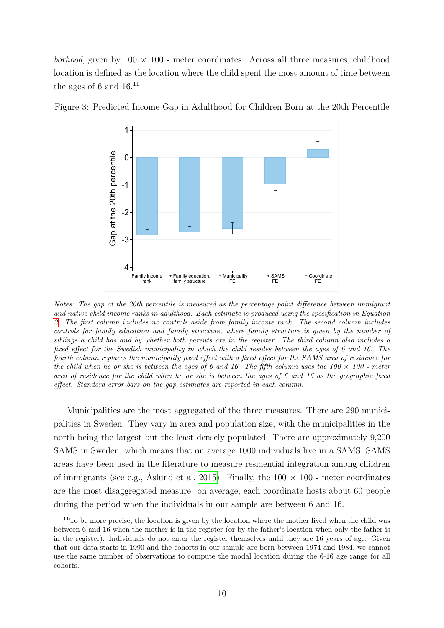borhood, given by  $100 \times 100$  - meter coordinates. Across all three measures, childhood location is defined as the location where the child spent the most amount of time between the ages of 6 and  $16^{11}$ 



<span id="page-9-0"></span>Figure 3: Predicted Income Gap in Adulthood for Children Born at the 20th Percentile

Notes: The gap at the 20th percentile is measured as the percentage point difference between immigrant and native child income ranks in adulthood. Each estimate is produced using the specification in Equation [2.](#page-8-0) The first column includes no controls aside from family income rank. The second column includes controls for family education and family structure, where family structure is given by the number of siblings a child has and by whether both parents are in the register. The third column also includes a fixed effect for the Swedish municipality in which the child resides between the ages of 6 and 16. The fourth column replaces the municipality fixed effect with a fixed effect for the SAMS area of residence for the child when he or she is between the ages of 6 and 16. The fifth column uses the  $100 \times 100$  - meter area of residence for the child when he or she is between the ages of 6 and 16 as the geographic fixed effect. Standard error bars on the gap estimates are reported in each column.

Municipalities are the most aggregated of the three measures. There are 290 municipalities in Sweden. They vary in area and population size, with the municipalities in the north being the largest but the least densely populated. There are approximately 9,200 SAMS in Sweden, which means that on average 1000 individuals live in a SAMS. SAMS areas have been used in the literature to measure residential integration among children of immigrants (see e.g., Åslund et al. [2015\)](#page-17-10). Finally, the  $100 \times 100$  - meter coordinates are the most disaggregated measure: on average, each coordinate hosts about 60 people during the period when the individuals in our sample are between 6 and 16.

 $11$ To be more precise, the location is given by the location where the mother lived when the child was between 6 and 16 when the mother is in the register (or by the father's location when only the father is in the register). Individuals do not enter the register themselves until they are 16 years of age. Given that our data starts in 1990 and the cohorts in our sample are born between 1974 and 1984, we cannot use the same number of observations to compute the modal location during the 6-16 age range for all cohorts.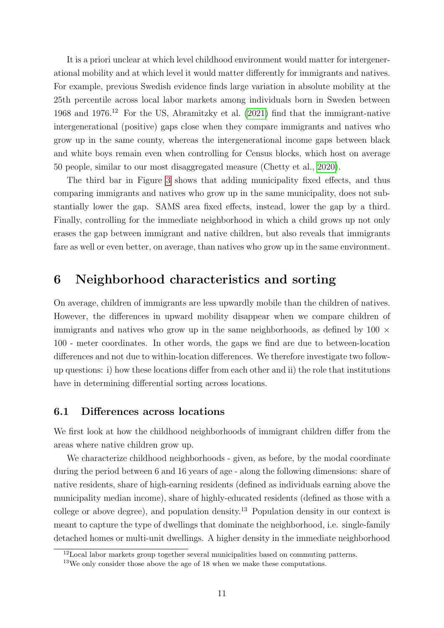It is a priori unclear at which level childhood environment would matter for intergenerational mobility and at which level it would matter differently for immigrants and natives. For example, previous Swedish evidence finds large variation in absolute mobility at the 25th percentile across local labor markets among individuals born in Sweden between 1968 and 1976.<sup>12</sup> For the US, Abramitzky et al. [\(2021\)](#page-17-0) find that the immigrant-native intergenerational (positive) gaps close when they compare immigrants and natives who grow up in the same county, whereas the intergenerational income gaps between black and white boys remain even when controlling for Census blocks, which host on average 50 people, similar to our most disaggregated measure (Chetty et al., [2020\)](#page-17-1).

The third bar in Figure [3](#page-9-0) shows that adding municipality fixed effects, and thus comparing immigrants and natives who grow up in the same municipality, does not substantially lower the gap. SAMS area fixed effects, instead, lower the gap by a third. Finally, controlling for the immediate neighborhood in which a child grows up not only erases the gap between immigrant and native children, but also reveals that immigrants fare as well or even better, on average, than natives who grow up in the same environment.

## <span id="page-10-0"></span>6 Neighborhood characteristics and sorting

On average, children of immigrants are less upwardly mobile than the children of natives. However, the differences in upward mobility disappear when we compare children of immigrants and natives who grow up in the same neighborhoods, as defined by  $100 \times$ 100 - meter coordinates. In other words, the gaps we find are due to between-location differences and not due to within-location differences. We therefore investigate two followup questions: i) how these locations differ from each other and ii) the role that institutions have in determining differential sorting across locations.

### <span id="page-10-1"></span>6.1 Differences across locations

We first look at how the childhood neighborhoods of immigrant children differ from the areas where native children grow up.

We characterize childhood neighborhoods - given, as before, by the modal coordinate during the period between 6 and 16 years of age - along the following dimensions: share of native residents, share of high-earning residents (defined as individuals earning above the municipality median income), share of highly-educated residents (defined as those with a college or above degree), and population density.<sup>13</sup> Population density in our context is meant to capture the type of dwellings that dominate the neighborhood, i.e. single-family detached homes or multi-unit dwellings. A higher density in the immediate neighborhood

 $12$ Local labor markets group together several municipalities based on commuting patterns.

 $13$ We only consider those above the age of 18 when we make these computations.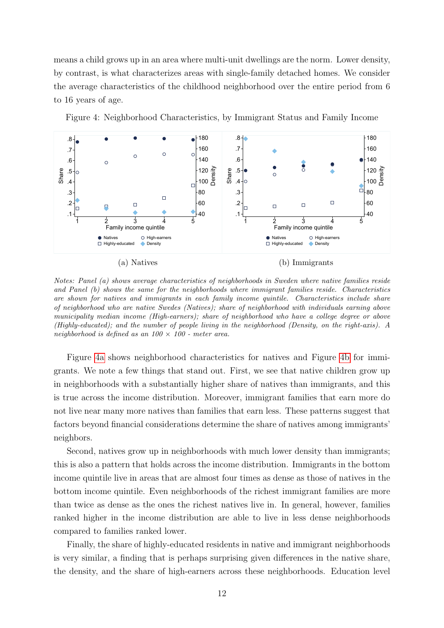means a child grows up in an area where multi-unit dwellings are the norm. Lower density, by contrast, is what characterizes areas with single-family detached homes. We consider the average characteristics of the childhood neighborhood over the entire period from 6 to 16 years of age.



.1  $+40$   $+40$   $+1$   $+20$   $+40$  $.2$  ,  $\Box$  ,  $\Box$  ,  $\Box$  ,  $\Box$  ,  $\Box$  ,  $\Box$  ,  $\Box$  ,  $\Box$  ,  $\Box$  ,  $\Box$  ,  $\Box$  ,  $\Box$  ,  $\Box$  ,  $\Box$  ,  $\Box$  ,  $\Box$  ,  $\Box$  ,  $\Box$  ,  $\Box$  ,  $\Box$  ,  $\Box$  ,  $\Box$  ,  $\Box$  ,  $\Box$  ,  $\Box$  ,  $\Box$  ,  $\Box$  ,  $\Box$  ,  $\Box$  ,  $\Box$  ,  $\Box$  $-3$   $-80$   $-3$   $-1$   $-80$ .4  $\downarrow$  100  $\uparrow$  100  $\uparrow$  50  $\downarrow$  100  $\uparrow$  50  $\downarrow$  100  $\uparrow$  50  $\downarrow$  100  $\uparrow$  50  $\downarrow$  100  $\uparrow$  $.5\frac{1}{10}$   $.5\frac{1}{10}$   $.5\frac{1}{10}$   $.5\frac{1}{10}$   $.5\frac{1}{10}$   $.5\frac{1}{10}$   $.5\frac{1}{10}$   $.5\frac{1}{10}$   $.5\frac{1}{10}$   $.5\frac{1}{10}$   $.5\frac{1}{10}$   $.5\frac{1}{10}$   $.5\frac{1}{10}$   $.5\frac{1}{10}$   $.5\frac{1}{10}$   $.5\frac{1}{10}$   $.5\frac{1}{10}$ 

(b) Immigrants

Natives ○ High-earners ● Natives ○ High-earners Highly-educated ● Density Density

 $\frac{1}{5}$   $\frac{1}{5}$   $\frac{1}{5}$   $\frac{1}{5}$   $\frac{1}{5}$   $\frac{1}{5}$   $\frac{1}{5}$   $\frac{1}{5}$   $\frac{1}{5}$   $\frac{1}{5}$   $\frac{1}{5}$   $\frac{1}{5}$   $\frac{1}{5}$   $\frac{1}{5}$   $\frac{1}{5}$   $\frac{1}{5}$   $\frac{1}{5}$   $\frac{1}{5}$   $\frac{1}{5}$   $\frac{1}{5}$   $\frac{1}{5}$   $\frac{1}{5}$ 

40 60 80  $.3 +$   $.3 +$   $.3 +$   $.3 +$   $.3 +$   $.3 +$   $.3 +$   $.3 +$   $.3 +$   $.3 +$   $.3 +$   $.3 +$   $.3 +$   $.3 +$   $.3 +$   $.3 +$   $.3 +$   $.3 +$   $.3 +$   $.3 +$   $.3 +$   $.3 +$   $.3 +$   $.3 +$   $.3 +$   $.3 +$   $.3 +$   $.3 +$   $.3 +$   $.3 +$   $.3 +$   $.3 +$   $.3 +$   $.3 +$   $.3 +$   $.3 +$   $.$  $100 \text{ \AA}$   $\vec{\sigma}$   $.4\text{ \degree}$   $\sigma$  $120 \frac{12}{120}$   $\frac{120}{120}$   $\frac{120}{120}$ 

Family income quintile Family income quintile

Natives Government in the High-earners and the control of the control of the control of the control of the control of the control of the control of the control of the control of the control of the control of the control of Highly-educated Density

.1 .2  $\pm$   $\qquad$   $\qquad$   $\qquad$   $\qquad$   $\qquad$   $\qquad$   $\qquad$   $\qquad$   $\qquad$   $\qquad$   $\qquad$   $\qquad$   $\qquad$   $\qquad$   $\qquad$   $\qquad$   $\qquad$   $\qquad$   $\qquad$   $\qquad$   $\qquad$   $\qquad$   $\qquad$   $\qquad$   $\qquad$   $\qquad$   $\qquad$   $\qquad$   $\qquad$   $\qquad$   $\qquad$   $\qquad$   $\qquad$   $\qquad$   $\qquad$   $\q$  $.3^{+}$   $\qquad \qquad$   $\qquad \qquad$   $\qquad \qquad$   $\qquad \qquad$   $\qquad \qquad$   $\qquad \qquad$   $\qquad \qquad$   $\qquad \qquad$   $\qquad \qquad$   $\qquad \qquad$   $\qquad \qquad$   $\qquad \qquad$   $\qquad \qquad$   $\qquad \qquad$   $\qquad \qquad$   $\qquad \qquad$   $\qquad \qquad$   $\qquad \qquad$   $\qquad \qquad$   $\qquad \qquad \qquad$   $\qquad \qquad$   $\qquad \qquad$   $\qquad \qquad \qquad$  .4 $\downarrow$  100  $\uparrow$  $.5\leftarrow$  0  $\leftarrow$  120 $\frac{12}{12}$ 

 $\frac{8}{5}$  s<sup>-</sup>  $\frac{8}{5}$  o  $\frac{8}{5}$  +  $\frac{120}{5}$   $\frac{5}{5}$  +  $\frac{120}{5}$  +  $\frac{120}{5}$  +  $\frac{5}{5}$  +  $\frac{120}{5}$  +  $\frac{5}{5}$  +  $\frac{120}{5}$  +  $\frac{5}{5}$  +  $\frac{120}{5}$  +  $\frac{5}{5}$  +  $\frac{120}{5}$  +  $\frac{5}{5}$  +  $\frac{120}{5}$  +

40 60 80  $100 \, \text{R}$  $120 \frac{2}{12}$ 

Density

1 2 3 4 5

 $\begin{bmatrix} 120 & \frac{13}{120} \\ \frac{13}{120} & \frac{13}{120} \\ \frac{1}{120} & \frac{13}{120} \end{bmatrix}$ <br> $\begin{bmatrix} 120 & \frac{13}{120} \\ \frac{1}{120} & \frac{13}{120} \\ \frac{1}{120} & \frac{13}{120} \end{bmatrix}$ 

1 2 3 4 5 1 2 3 4 5

<span id="page-11-0"></span>Figure 4: Neighborhood Characteristics, by Immigrant Status and Family Income



(a) Natives

Figure [4a](#page-11-0) shows neighborhood characteristics for natives and Figure [4b](#page-11-0) for immigrants. We note a few things that stand out. First, we see that native children grow up in neighborhoods with a substantially higher share of natives than immigrants, and this is true across the income distribution. Moreover, immigrant families that earn more do not live near many more natives than families that earn less. These patterns suggest that factors beyond financial considerations determine the share of natives among immigrants' neighbors.

Second, natives grow up in neighborhoods with much lower density than immigrants; this is also a pattern that holds across the income distribution. Immigrants in the bottom income quintile live in areas that are almost four times as dense as those of natives in the bottom income quintile. Even neighborhoods of the richest immigrant families are more than twice as dense as the ones the richest natives live in. In general, however, families ranked higher in the income distribution are able to live in less dense neighborhoods compared to families ranked lower.

Finally, the share of highly-educated residents in native and immigrant neighborhoods is very similar, a finding that is perhaps surprising given differences in the native share, the density, and the share of high-earners across these neighborhoods. Education level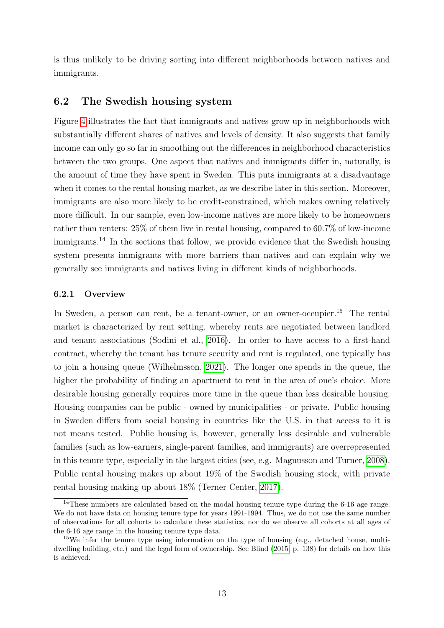is thus unlikely to be driving sorting into different neighborhoods between natives and immigrants.

## 6.2 The Swedish housing system

Figure [4](#page-11-0) illustrates the fact that immigrants and natives grow up in neighborhoods with substantially different shares of natives and levels of density. It also suggests that family income can only go so far in smoothing out the differences in neighborhood characteristics between the two groups. One aspect that natives and immigrants differ in, naturally, is the amount of time they have spent in Sweden. This puts immigrants at a disadvantage when it comes to the rental housing market, as we describe later in this section. Moreover, immigrants are also more likely to be credit-constrained, which makes owning relatively more difficult. In our sample, even low-income natives are more likely to be homeowners rather than renters: 25% of them live in rental housing, compared to 60.7% of low-income immigrants.<sup>14</sup> In the sections that follow, we provide evidence that the Swedish housing system presents immigrants with more barriers than natives and can explain why we generally see immigrants and natives living in different kinds of neighborhoods.

### 6.2.1 Overview

In Sweden, a person can rent, be a tenant-owner, or an owner-occupier.<sup>15</sup> The rental market is characterized by rent setting, whereby rents are negotiated between landlord and tenant associations (Sodini et al., [2016\)](#page-18-4). In order to have access to a first-hand contract, whereby the tenant has tenure security and rent is regulated, one typically has to join a housing queue (Wilhelmsson, [2021\)](#page-18-5). The longer one spends in the queue, the higher the probability of finding an apartment to rent in the area of one's choice. More desirable housing generally requires more time in the queue than less desirable housing. Housing companies can be public - owned by municipalities - or private. Public housing in Sweden differs from social housing in countries like the U.S. in that access to it is not means tested. Public housing is, however, generally less desirable and vulnerable families (such as low-earners, single-parent families, and immigrants) are overrepresented in this tenure type, especially in the largest cities (see, e.g. Magnusson and Turner, [2008\)](#page-18-6). Public rental housing makes up about 19% of the Swedish housing stock, with private rental housing making up about 18% (Terner Center, [2017\)](#page-18-0).

<sup>&</sup>lt;sup>14</sup>These numbers are calculated based on the modal housing tenure type during the 6-16 age range. We do not have data on housing tenure type for years 1991-1994. Thus, we do not use the same number of observations for all cohorts to calculate these statistics, nor do we observe all cohorts at all ages of the 6-16 age range in the housing tenure type data.

 $15$ We infer the tenure type using information on the type of housing (e.g., detached house, multidwelling building, etc.) and the legal form of ownership. See Blind [\(2015,](#page-17-11) p. 138) for details on how this is achieved.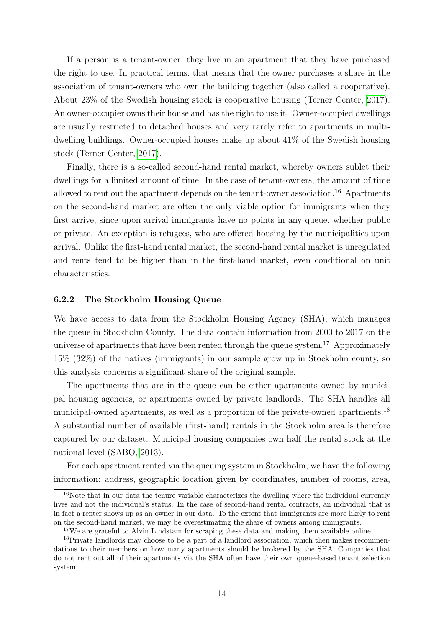If a person is a tenant-owner, they live in an apartment that they have purchased the right to use. In practical terms, that means that the owner purchases a share in the association of tenant-owners who own the building together (also called a cooperative). About 23% of the Swedish housing stock is cooperative housing (Terner Center, [2017\)](#page-18-0). An owner-occupier owns their house and has the right to use it. Owner-occupied dwellings are usually restricted to detached houses and very rarely refer to apartments in multidwelling buildings. Owner-occupied houses make up about 41% of the Swedish housing stock (Terner Center, [2017\)](#page-18-0).

Finally, there is a so-called second-hand rental market, whereby owners sublet their dwellings for a limited amount of time. In the case of tenant-owners, the amount of time allowed to rent out the apartment depends on the tenant-owner association.<sup>16</sup> Apartments on the second-hand market are often the only viable option for immigrants when they first arrive, since upon arrival immigrants have no points in any queue, whether public or private. An exception is refugees, who are offered housing by the municipalities upon arrival. Unlike the first-hand rental market, the second-hand rental market is unregulated and rents tend to be higher than in the first-hand market, even conditional on unit characteristics.

#### 6.2.2 The Stockholm Housing Queue

We have access to data from the Stockholm Housing Agency (SHA), which manages the queue in Stockholm County. The data contain information from 2000 to 2017 on the universe of apartments that have been rented through the queue system.<sup>17</sup> Approximately 15% (32%) of the natives (immigrants) in our sample grow up in Stockholm county, so this analysis concerns a significant share of the original sample.

The apartments that are in the queue can be either apartments owned by municipal housing agencies, or apartments owned by private landlords. The SHA handles all municipal-owned apartments, as well as a proportion of the private-owned apartments.<sup>18</sup> A substantial number of available (first-hand) rentals in the Stockholm area is therefore captured by our dataset. Municipal housing companies own half the rental stock at the national level (SABO, [2013\)](#page-18-7).

For each apartment rented via the queuing system in Stockholm, we have the following information: address, geographic location given by coordinates, number of rooms, area,

<sup>&</sup>lt;sup>16</sup>Note that in our data the tenure variable characterizes the dwelling where the individual currently lives and not the individual's status. In the case of second-hand rental contracts, an individual that is in fact a renter shows up as an owner in our data. To the extent that immigrants are more likely to rent on the second-hand market, we may be overestimating the share of owners among immigrants.

<sup>&</sup>lt;sup>17</sup>We are grateful to Alvin Lindstam for scraping these data and making them available online.

<sup>&</sup>lt;sup>18</sup>Private landlords may choose to be a part of a landlord association, which then makes recommendations to their members on how many apartments should be brokered by the SHA. Companies that do not rent out all of their apartments via the SHA often have their own queue-based tenant selection system.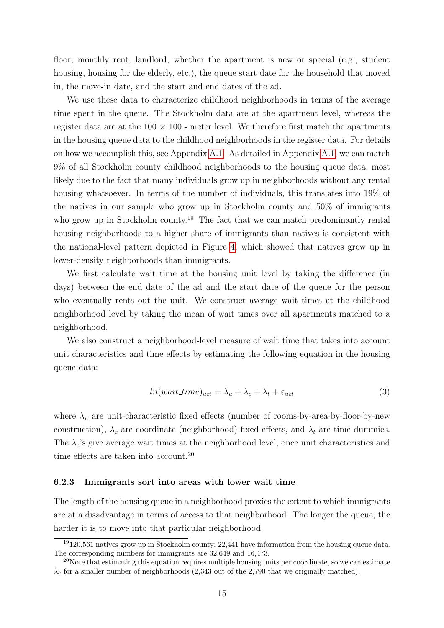floor, monthly rent, landlord, whether the apartment is new or special (e.g., student housing, housing for the elderly, etc.), the queue start date for the household that moved in, the move-in date, and the start and end dates of the ad.

We use these data to characterize childhood neighborhoods in terms of the average time spent in the queue. The Stockholm data are at the apartment level, whereas the register data are at the  $100 \times 100$  - meter level. We therefore first match the apartments in the housing queue data to the childhood neighborhoods in the register data. For details on how we accomplish this, see Appendix [A.1.](#page-19-0) As detailed in Appendix [A.1,](#page-19-0) we can match 9% of all Stockholm county childhood neighborhoods to the housing queue data, most likely due to the fact that many individuals grow up in neighborhoods without any rental housing whatsoever. In terms of the number of individuals, this translates into 19% of the natives in our sample who grow up in Stockholm county and 50% of immigrants who grow up in Stockholm county.<sup>19</sup> The fact that we can match predominantly rental housing neighborhoods to a higher share of immigrants than natives is consistent with the national-level pattern depicted in Figure [4,](#page-11-0) which showed that natives grow up in lower-density neighborhoods than immigrants.

We first calculate wait time at the housing unit level by taking the difference (in days) between the end date of the ad and the start date of the queue for the person who eventually rents out the unit. We construct average wait times at the childhood neighborhood level by taking the mean of wait times over all apartments matched to a neighborhood.

We also construct a neighborhood-level measure of wait time that takes into account unit characteristics and time effects by estimating the following equation in the housing queue data:

<span id="page-14-0"></span>
$$
ln(wait_time)_{uct} = \lambda_u + \lambda_c + \lambda_t + \varepsilon_{uct}
$$
\n(3)

where  $\lambda_u$  are unit-characteristic fixed effects (number of rooms-by-area-by-floor-by-new construction),  $\lambda_c$  are coordinate (neighborhood) fixed effects, and  $\lambda_t$  are time dummies. The  $\lambda_c$ 's give average wait times at the neighborhood level, once unit characteristics and time effects are taken into account.<sup>20</sup>

#### 6.2.3 Immigrants sort into areas with lower wait time

The length of the housing queue in a neighborhood proxies the extent to which immigrants are at a disadvantage in terms of access to that neighborhood. The longer the queue, the harder it is to move into that particular neighborhood.

<sup>&</sup>lt;sup>19</sup>120,561 natives grow up in Stockholm county; 22,441 have information from the housing queue data. The corresponding numbers for immigrants are 32,649 and 16,473.

 $20$ Note that estimating this equation requires multiple housing units per coordinate, so we can estimate  $\lambda_c$  for a smaller number of neighborhoods (2,343 out of the 2,790 that we originally matched).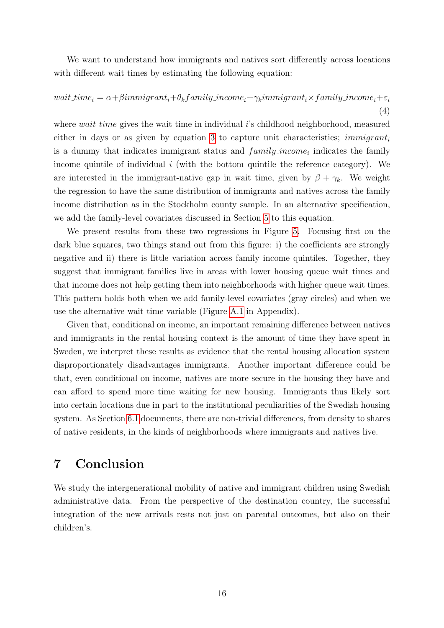We want to understand how immigrants and natives sort differently across locations with different wait times by estimating the following equation:

wait time<sub>i</sub> =  $\alpha + \beta$ immigrant<sub>i</sub> +  $\theta_k$ f amily income<sub>i</sub> +  $\gamma_k$ immigrant<sub>i</sub> × f amily income<sub>i</sub> +  $\varepsilon_i$ (4)

where *wait time* gives the wait time in individual  $i$ 's childhood neighborhood, measured either in days or as given by equation [3](#page-14-0) to capture unit characteristics;  $immigrant_i$ is a dummy that indicates immigrant status and  $family\_income_i$  indicates the family income quintile of individual  $i$  (with the bottom quintile the reference category). We are interested in the immigrant-native gap in wait time, given by  $\beta + \gamma_k$ . We weight the regression to have the same distribution of immigrants and natives across the family income distribution as in the Stockholm county sample. In an alternative specification, we add the family-level covariates discussed in Section [5](#page-7-0) to this equation.

We present results from these two regressions in Figure [5.](#page-16-0) Focusing first on the dark blue squares, two things stand out from this figure: i) the coefficients are strongly negative and ii) there is little variation across family income quintiles. Together, they suggest that immigrant families live in areas with lower housing queue wait times and that income does not help getting them into neighborhoods with higher queue wait times. This pattern holds both when we add family-level covariates (gray circles) and when we use the alternative wait time variable (Figure [A.1](#page-20-1) in Appendix).

Given that, conditional on income, an important remaining difference between natives and immigrants in the rental housing context is the amount of time they have spent in Sweden, we interpret these results as evidence that the rental housing allocation system disproportionately disadvantages immigrants. Another important difference could be that, even conditional on income, natives are more secure in the housing they have and can afford to spend more time waiting for new housing. Immigrants thus likely sort into certain locations due in part to the institutional peculiarities of the Swedish housing system. As Section [6.1](#page-10-1) documents, there are non-trivial differences, from density to shares of native residents, in the kinds of neighborhoods where immigrants and natives live.

# <span id="page-15-0"></span>7 Conclusion

We study the intergenerational mobility of native and immigrant children using Swedish administrative data. From the perspective of the destination country, the successful integration of the new arrivals rests not just on parental outcomes, but also on their children's.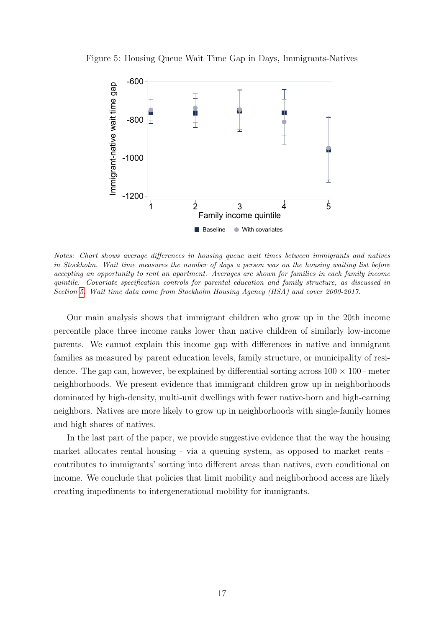<span id="page-16-0"></span>



Notes: Chart shows average differences in housing queue wait times between immigrants and natives in Stockholm. Wait time measures the number of days a person was on the housing waiting list before accepting an opportunity to rent an apartment. Averages are shown for families in each family income quintile. Covariate specification controls for parental education and family structure, as discussed in Section [5.](#page-7-0) Wait time data come from Stockholm Housing Agency (HSA) and cover 2000-2017.

Our main analysis shows that immigrant children who grow up in the 20th income percentile place three income ranks lower than native children of similarly low-income parents. We cannot explain this income gap with differences in native and immigrant families as measured by parent education levels, family structure, or municipality of residence. The gap can, however, be explained by differential sorting across  $100 \times 100$  - meter neighborhoods. We present evidence that immigrant children grow up in neighborhoods dominated by high-density, multi-unit dwellings with fewer native-born and high-earning neighbors. Natives are more likely to grow up in neighborhoods with single-family homes and high shares of natives.

In the last part of the paper, we provide suggestive evidence that the way the housing market allocates rental housing - via a queuing system, as opposed to market rents contributes to immigrants' sorting into different areas than natives, even conditional on income. We conclude that policies that limit mobility and neighborhood access are likely creating impediments to intergenerational mobility for immigrants.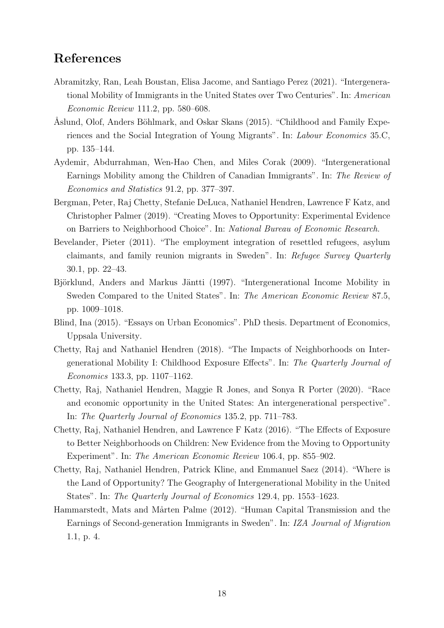# References

- <span id="page-17-0"></span>Abramitzky, Ran, Leah Boustan, Elisa Jacome, and Santiago Perez (2021). "Intergenerational Mobility of Immigrants in the United States over Two Centuries". In: American Economic Review 111.2, pp. 580–608.
- <span id="page-17-10"></span>Åslund, Olof, Anders Böhlmark, and Oskar Skans (2015). "Childhood and Family Experiences and the Social Integration of Young Migrants". In: Labour Economics 35.C, pp. 135–144.
- <span id="page-17-2"></span>Aydemir, Abdurrahman, Wen-Hao Chen, and Miles Corak (2009). "Intergenerational Earnings Mobility among the Children of Canadian Immigrants". In: The Review of Economics and Statistics 91.2, pp. 377–397.
- <span id="page-17-8"></span>Bergman, Peter, Raj Chetty, Stefanie DeLuca, Nathaniel Hendren, Lawrence F Katz, and Christopher Palmer (2019). "Creating Moves to Opportunity: Experimental Evidence on Barriers to Neighborhood Choice". In: National Bureau of Economic Research.
- <span id="page-17-9"></span>Bevelander, Pieter (2011). "The employment integration of resettled refugees, asylum claimants, and family reunion migrants in Sweden". In: Refugee Survey Quarterly 30.1, pp. 22–43.
- <span id="page-17-4"></span>Björklund, Anders and Markus Jäntti (1997). "Intergenerational Income Mobility in Sweden Compared to the United States". In: The American Economic Review 87.5, pp. 1009–1018.
- <span id="page-17-11"></span>Blind, Ina (2015). "Essays on Urban Economics". PhD thesis. Department of Economics, Uppsala University.
- <span id="page-17-7"></span>Chetty, Raj and Nathaniel Hendren (2018). "The Impacts of Neighborhoods on Intergenerational Mobility I: Childhood Exposure Effects". In: The Quarterly Journal of Economics 133.3, pp. 1107–1162.
- <span id="page-17-1"></span>Chetty, Raj, Nathaniel Hendren, Maggie R Jones, and Sonya R Porter (2020). "Race and economic opportunity in the United States: An intergenerational perspective". In: The Quarterly Journal of Economics 135.2, pp. 711–783.
- <span id="page-17-6"></span>Chetty, Raj, Nathaniel Hendren, and Lawrence F Katz (2016). "The Effects of Exposure to Better Neighborhoods on Children: New Evidence from the Moving to Opportunity Experiment". In: The American Economic Review 106.4, pp. 855–902.
- <span id="page-17-5"></span>Chetty, Raj, Nathaniel Hendren, Patrick Kline, and Emmanuel Saez (2014). "Where is the Land of Opportunity? The Geography of Intergenerational Mobility in the United States". In: The Quarterly Journal of Economics 129.4, pp. 1553–1623.
- <span id="page-17-3"></span>Hammarstedt, Mats and Mårten Palme (2012). "Human Capital Transmission and the Earnings of Second-generation Immigrants in Sweden". In: IZA Journal of Migration 1.1, p. 4.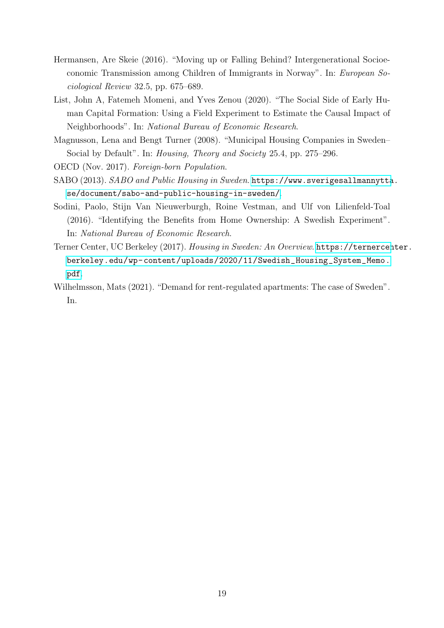- <span id="page-18-1"></span>Hermansen, Are Skeie (2016). "Moving up or Falling Behind? Intergenerational Socioeconomic Transmission among Children of Immigrants in Norway". In: European Sociological Review 32.5, pp. 675–689.
- <span id="page-18-2"></span>List, John A, Fatemeh Momeni, and Yves Zenou (2020). "The Social Side of Early Human Capital Formation: Using a Field Experiment to Estimate the Causal Impact of Neighborhoods". In: National Bureau of Economic Research.
- <span id="page-18-6"></span>Magnusson, Lena and Bengt Turner (2008). "Municipal Housing Companies in Sweden– Social by Default". In: Housing, Theory and Society 25.4, pp. 275–296.

<span id="page-18-3"></span>OECD (Nov. 2017). Foreign-born Population.

- <span id="page-18-7"></span>SABO (2013). SABO and Public Housing in Sweden. [https://www.sverigesallmannytta](https://www.sverigesallmannytta.se/document/sabo-and-public-housing-in-sweden/). [se/document/sabo-and-public-housing-in-sweden/](https://www.sverigesallmannytta.se/document/sabo-and-public-housing-in-sweden/).
- <span id="page-18-4"></span>Sodini, Paolo, Stijn Van Nieuwerburgh, Roine Vestman, and Ulf von Lilienfeld-Toal (2016). "Identifying the Benefits from Home Ownership: A Swedish Experiment". In: National Bureau of Economic Research.
- <span id="page-18-0"></span>Terner Center, UC Berkeley (2017). Housing in Sweden: An Overview. [https://ternercen](https://ternercenter.berkeley.edu/wp-content/uploads/2020/11/Swedish_Housing_System_Memo.pdf)ter. [berkeley.edu/wp-content/uploads/2020/11/Swedish\\_Housing\\_System\\_Memo.](https://ternercenter.berkeley.edu/wp-content/uploads/2020/11/Swedish_Housing_System_Memo.pdf) [pdf](https://ternercenter.berkeley.edu/wp-content/uploads/2020/11/Swedish_Housing_System_Memo.pdf).
- <span id="page-18-5"></span>Wilhelmsson, Mats (2021). "Demand for rent-regulated apartments: The case of Sweden". In.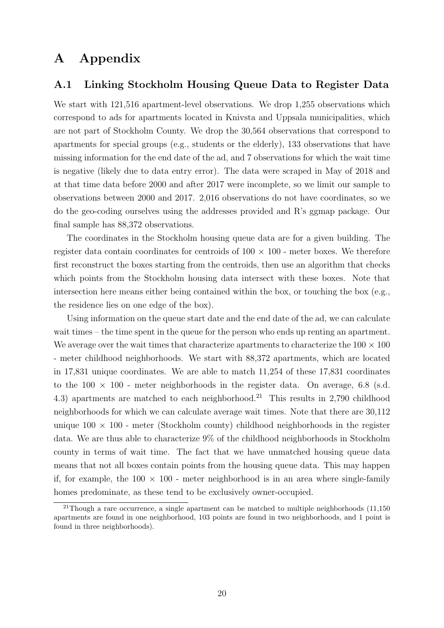# A Appendix

## <span id="page-19-0"></span>A.1 Linking Stockholm Housing Queue Data to Register Data

We start with 121,516 apartment-level observations. We drop 1,255 observations which correspond to ads for apartments located in Knivsta and Uppsala municipalities, which are not part of Stockholm County. We drop the 30,564 observations that correspond to apartments for special groups (e.g., students or the elderly), 133 observations that have missing information for the end date of the ad, and 7 observations for which the wait time is negative (likely due to data entry error). The data were scraped in May of 2018 and at that time data before 2000 and after 2017 were incomplete, so we limit our sample to observations between 2000 and 2017. 2,016 observations do not have coordinates, so we do the geo-coding ourselves using the addresses provided and R's ggmap package. Our final sample has 88,372 observations.

The coordinates in the Stockholm housing queue data are for a given building. The register data contain coordinates for centroids of  $100 \times 100$  - meter boxes. We therefore first reconstruct the boxes starting from the centroids, then use an algorithm that checks which points from the Stockholm housing data intersect with these boxes. Note that intersection here means either being contained within the box, or touching the box (e.g., the residence lies on one edge of the box).

Using information on the queue start date and the end date of the ad, we can calculate wait times – the time spent in the queue for the person who ends up renting an apartment. We average over the wait times that characterize apartments to characterize the  $100 \times 100$ - meter childhood neighborhoods. We start with 88,372 apartments, which are located in 17,831 unique coordinates. We are able to match 11,254 of these 17,831 coordinates to the  $100 \times 100$  - meter neighborhoods in the register data. On average, 6.8 (s.d. 4.3) apartments are matched to each neighborhood.<sup>21</sup> This results in 2,790 childhood neighborhoods for which we can calculate average wait times. Note that there are 30,112 unique  $100 \times 100$  - meter (Stockholm county) childhood neighborhoods in the register data. We are thus able to characterize 9% of the childhood neighborhoods in Stockholm county in terms of wait time. The fact that we have unmatched housing queue data means that not all boxes contain points from the housing queue data. This may happen if, for example, the  $100 \times 100$  - meter neighborhood is in an area where single-family homes predominate, as these tend to be exclusively owner-occupied.

<sup>&</sup>lt;sup>21</sup>Though a rare occurrence, a single apartment can be matched to multiple neighborhoods  $(11,150)$ apartments are found in one neighborhood, 103 points are found in two neighborhoods, and 1 point is found in three neighborhoods).